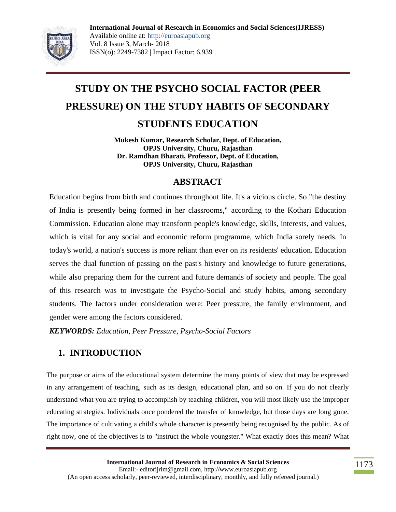

# **STUDY ON THE PSYCHO SOCIAL FACTOR (PEER PRESSURE) ON THE STUDY HABITS OF SECONDARY STUDENTS EDUCATION**

**Mukesh Kumar, Research Scholar, Dept. of Education, OPJS University, Churu, Rajasthan Dr. Ramdhan Bharati, Professor, Dept. of Education, OPJS University, Churu, Rajasthan**

### **ABSTRACT**

Education begins from birth and continues throughout life. It's a vicious circle. So "the destiny of India is presently being formed in her classrooms," according to the Kothari Education Commission. Education alone may transform people's knowledge, skills, interests, and values, which is vital for any social and economic reform programme, which India sorely needs. In today's world, a nation's success is more reliant than ever on its residents' education. Education serves the dual function of passing on the past's history and knowledge to future generations, while also preparing them for the current and future demands of society and people. The goal of this research was to investigate the Psycho-Social and study habits, among secondary students. The factors under consideration were: Peer pressure, the family environment, and gender were among the factors considered.

*KEYWORDS: Education, Peer Pressure, Psycho-Social Factors*

## **1. INTRODUCTION**

The purpose or aims of the educational system determine the many points of view that may be expressed in any arrangement of teaching, such as its design, educational plan, and so on. If you do not clearly understand what you are trying to accomplish by teaching children, you will most likely use the improper educating strategies. Individuals once pondered the transfer of knowledge, but those days are long gone. The importance of cultivating a child's whole character is presently being recognised by the public. As of right now, one of the objectives is to "instruct the whole youngster." What exactly does this mean? What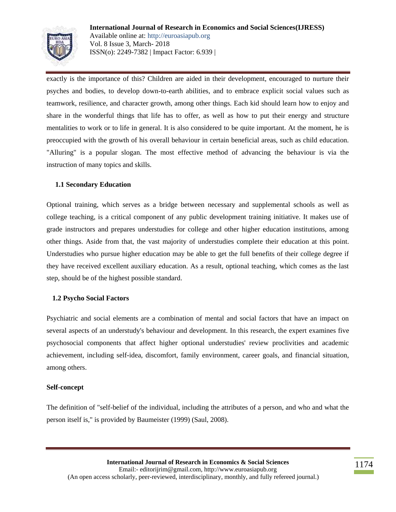

exactly is the importance of this? Children are aided in their development, encouraged to nurture their psyches and bodies, to develop down-to-earth abilities, and to embrace explicit social values such as teamwork, resilience, and character growth, among other things. Each kid should learn how to enjoy and share in the wonderful things that life has to offer, as well as how to put their energy and structure mentalities to work or to life in general. It is also considered to be quite important. At the moment, he is preoccupied with the growth of his overall behaviour in certain beneficial areas, such as child education. "Alluring" is a popular slogan. The most effective method of advancing the behaviour is via the instruction of many topics and skills.

#### **1.1 Secondary Education**

Optional training, which serves as a bridge between necessary and supplemental schools as well as college teaching, is a critical component of any public development training initiative. It makes use of grade instructors and prepares understudies for college and other higher education institutions, among other things. Aside from that, the vast majority of understudies complete their education at this point. Understudies who pursue higher education may be able to get the full benefits of their college degree if they have received excellent auxiliary education. As a result, optional teaching, which comes as the last step, should be of the highest possible standard.

#### **1.2 Psycho Social Factors**

Psychiatric and social elements are a combination of mental and social factors that have an impact on several aspects of an understudy's behaviour and development. In this research, the expert examines five psychosocial components that affect higher optional understudies' review proclivities and academic achievement, including self-idea, discomfort, family environment, career goals, and financial situation, among others.

#### **Self-concept**

The definition of "self-belief of the individual, including the attributes of a person, and who and what the person itself is," is provided by Baumeister (1999) (Saul, 2008).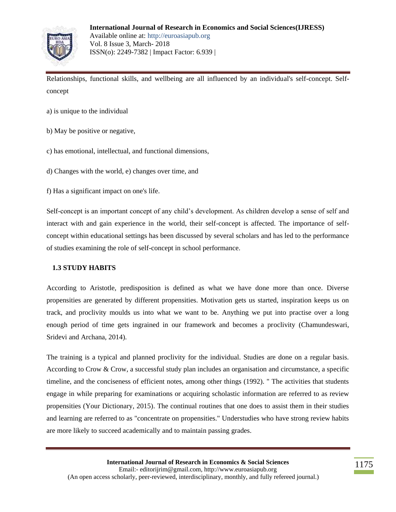

Relationships, functional skills, and wellbeing are all influenced by an individual's self-concept. Selfconcept

- a) is unique to the individual
- b) May be positive or negative,
- c) has emotional, intellectual, and functional dimensions,
- d) Changes with the world, e) changes over time, and
- f) Has a significant impact on one's life.

Self-concept is an important concept of any child's development. As children develop a sense of self and interact with and gain experience in the world, their self-concept is affected. The importance of selfconcept within educational settings has been discussed by several scholars and has led to the performance of studies examining the role of self-concept in school performance.

#### **1.3 STUDY HABITS**

According to Aristotle, predisposition is defined as what we have done more than once. Diverse propensities are generated by different propensities. Motivation gets us started, inspiration keeps us on track, and proclivity moulds us into what we want to be. Anything we put into practise over a long enough period of time gets ingrained in our framework and becomes a proclivity (Chamundeswari, Sridevi and Archana, 2014).

The training is a typical and planned proclivity for the individual. Studies are done on a regular basis. According to Crow & Crow, a successful study plan includes an organisation and circumstance, a specific timeline, and the conciseness of efficient notes, among other things (1992). " The activities that students engage in while preparing for examinations or acquiring scholastic information are referred to as review propensities (Your Dictionary, 2015). The continual routines that one does to assist them in their studies and learning are referred to as "concentrate on propensities." Understudies who have strong review habits are more likely to succeed academically and to maintain passing grades.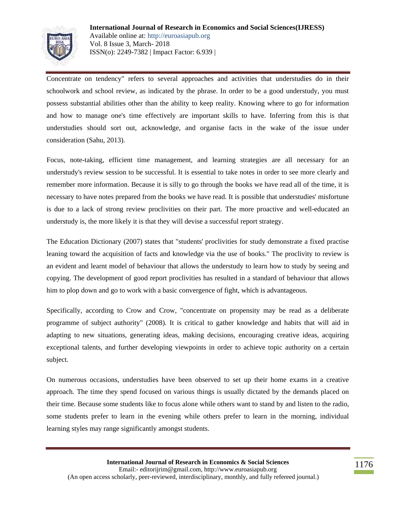

Concentrate on tendency" refers to several approaches and activities that understudies do in their schoolwork and school review, as indicated by the phrase. In order to be a good understudy, you must possess substantial abilities other than the ability to keep reality. Knowing where to go for information and how to manage one's time effectively are important skills to have. Inferring from this is that understudies should sort out, acknowledge, and organise facts in the wake of the issue under consideration (Sahu, 2013).

Focus, note-taking, efficient time management, and learning strategies are all necessary for an understudy's review session to be successful. It is essential to take notes in order to see more clearly and remember more information. Because it is silly to go through the books we have read all of the time, it is necessary to have notes prepared from the books we have read. It is possible that understudies' misfortune is due to a lack of strong review proclivities on their part. The more proactive and well-educated an understudy is, the more likely it is that they will devise a successful report strategy.

The Education Dictionary (2007) states that "students' proclivities for study demonstrate a fixed practise leaning toward the acquisition of facts and knowledge via the use of books." The proclivity to review is an evident and learnt model of behaviour that allows the understudy to learn how to study by seeing and copying. The development of good report proclivities has resulted in a standard of behaviour that allows him to plop down and go to work with a basic convergence of fight, which is advantageous.

Specifically, according to Crow and Crow, "concentrate on propensity may be read as a deliberate programme of subject authority" (2008). It is critical to gather knowledge and habits that will aid in adapting to new situations, generating ideas, making decisions, encouraging creative ideas, acquiring exceptional talents, and further developing viewpoints in order to achieve topic authority on a certain subject.

On numerous occasions, understudies have been observed to set up their home exams in a creative approach. The time they spend focused on various things is usually dictated by the demands placed on their time. Because some students like to focus alone while others want to stand by and listen to the radio, some students prefer to learn in the evening while others prefer to learn in the morning, individual learning styles may range significantly amongst students.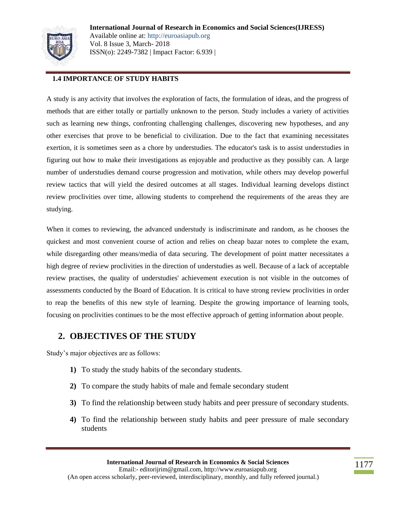

#### **1.4 IMPORTANCE OF STUDY HABITS**

A study is any activity that involves the exploration of facts, the formulation of ideas, and the progress of methods that are either totally or partially unknown to the person. Study includes a variety of activities such as learning new things, confronting challenging challenges, discovering new hypotheses, and any other exercises that prove to be beneficial to civilization. Due to the fact that examining necessitates exertion, it is sometimes seen as a chore by understudies. The educator's task is to assist understudies in figuring out how to make their investigations as enjoyable and productive as they possibly can. A large number of understudies demand course progression and motivation, while others may develop powerful review tactics that will yield the desired outcomes at all stages. Individual learning develops distinct review proclivities over time, allowing students to comprehend the requirements of the areas they are studying.

When it comes to reviewing, the advanced understudy is indiscriminate and random, as he chooses the quickest and most convenient course of action and relies on cheap bazar notes to complete the exam, while disregarding other means/media of data securing. The development of point matter necessitates a high degree of review proclivities in the direction of understudies as well. Because of a lack of acceptable review practises, the quality of understudies' achievement execution is not visible in the outcomes of assessments conducted by the Board of Education. It is critical to have strong review proclivities in order to reap the benefits of this new style of learning. Despite the growing importance of learning tools, focusing on proclivities continues to be the most effective approach of getting information about people.

### **2. OBJECTIVES OF THE STUDY**

Study's major objectives are as follows:

- **1)** To study the study habits of the secondary students.
- **2)** To compare the study habits of male and female secondary student
- **3)** To find the relationship between study habits and peer pressure of secondary students.
- **4)** To find the relationship between study habits and peer pressure of male secondary students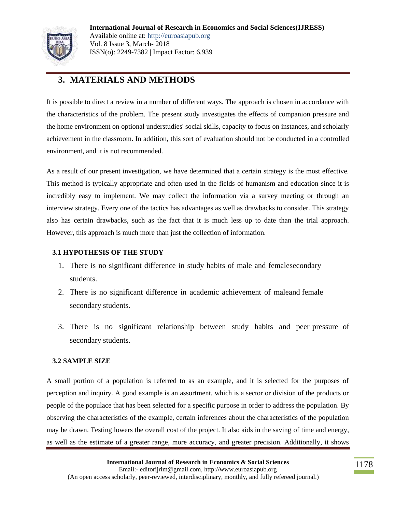

## **3. MATERIALS AND METHODS**

It is possible to direct a review in a number of different ways. The approach is chosen in accordance with the characteristics of the problem. The present study investigates the effects of companion pressure and the home environment on optional understudies' social skills, capacity to focus on instances, and scholarly achievement in the classroom. In addition, this sort of evaluation should not be conducted in a controlled environment, and it is not recommended.

As a result of our present investigation, we have determined that a certain strategy is the most effective. This method is typically appropriate and often used in the fields of humanism and education since it is incredibly easy to implement. We may collect the information via a survey meeting or through an interview strategy. Every one of the tactics has advantages as well as drawbacks to consider. This strategy also has certain drawbacks, such as the fact that it is much less up to date than the trial approach. However, this approach is much more than just the collection of information.

#### **3.1 HYPOTHESIS OF THE STUDY**

- 1. There is no significant difference in study habits of male and female secondary students.
- 2. There is no significant difference in academic achievement of maleand female secondary students.
- 3. There is no significant relationship between study habits and peer pressure of secondary students.

#### **3.2 SAMPLE SIZE**

A small portion of a population is referred to as an example, and it is selected for the purposes of perception and inquiry. A good example is an assortment, which is a sector or division of the products or people of the populace that has been selected for a specific purpose in order to address the population. By observing the characteristics of the example, certain inferences about the characteristics of the population may be drawn. Testing lowers the overall cost of the project. It also aids in the saving of time and energy, as well as the estimate of a greater range, more accuracy, and greater precision. Additionally, it shows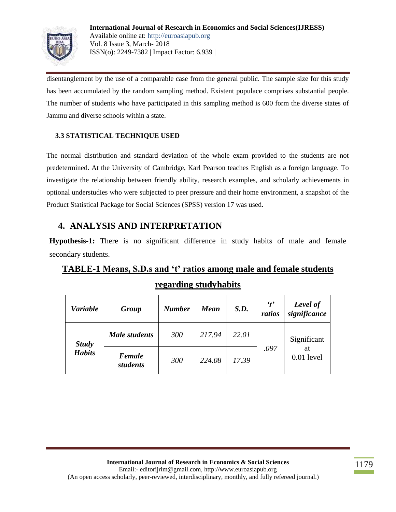

disentanglement by the use of a comparable case from the general public. The sample size for this study has been accumulated by the random sampling method. Existent populace comprises substantial people. The number of students who have participated in this sampling method is 600 form the diverse states of Jammu and diverse schools within a state.

#### **3.3 STATISTICAL TECHNIQUE USED**

The normal distribution and standard deviation of the whole exam provided to the students are not predetermined. At the University of Cambridge, Karl Pearson teaches English as a foreign language. To investigate the relationship between friendly ability, research examples, and scholarly achievements in optional understudies who were subjected to peer pressure and their home environment, a snapshot of the Product Statistical Package for Social Sciences (SPSS) version 17 was used.

## **4. ANALYSIS AND INTERPRETATION**

**Hypothesis-1:** There is no significant difference in study habits of male and female secondary students.

## **TABLE-1 Means, S.D.s and 't' ratios among male and female students regarding studyhabits**

| <b>Variable</b>               | Group                     | <b>Number</b> | <b>Mean</b> | S.D.  | $\mathbf{r}'$<br>ratios | Level of<br>significance          |
|-------------------------------|---------------------------|---------------|-------------|-------|-------------------------|-----------------------------------|
| <b>Study</b><br><b>Habits</b> | <b>Male students</b>      | 300           | 217.94      | 22.01 | .097                    | Significant<br>at<br>$0.01$ level |
|                               | <b>Female</b><br>students | 300           | 224.08      | 17.39 |                         |                                   |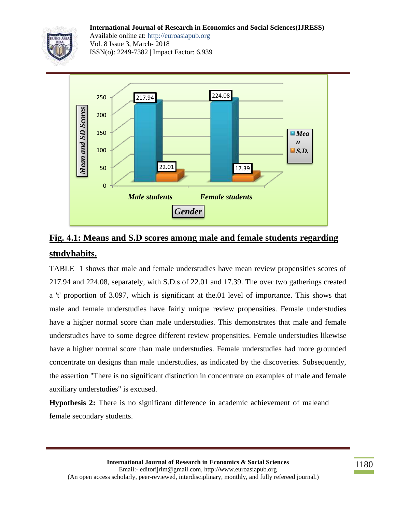**International Journal of Research in Economics and Social Sciences(IJRESS)**



Available online at: http://euroasiapub.org Vol. 8 Issue 3, March- 2018 ISSN(o): 2249-7382 | Impact Factor: 6.939 |



## **Fig. 4.1: Means and S.D scores among male and female students regarding studyhabits.**

TABLE 1 shows that male and female understudies have mean review propensities scores of 217.94 and 224.08, separately, with S.D.s of 22.01 and 17.39. The over two gatherings created a 't' proportion of 3.097, which is significant at the.01 level of importance. This shows that male and female understudies have fairly unique review propensities. Female understudies have a higher normal score than male understudies. This demonstrates that male and female understudies have to some degree different review propensities. Female understudies likewise have a higher normal score than male understudies. Female understudies had more grounded concentrate on designs than male understudies, as indicated by the discoveries. Subsequently, the assertion "There is no significant distinction in concentrate on examples of male and female auxiliary understudies" is excused.

**Hypothesis 2:** There is no significant difference in academic achievement of maleand female secondary students.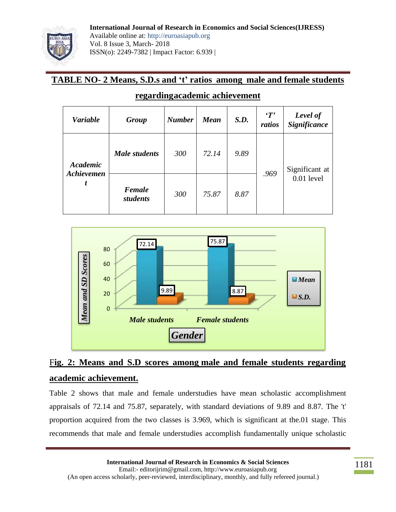

## **TABLE NO- 2 Means, S.D.s and 't' ratios among male and female students**

| <b>Variable</b>             | Group                | <b>Number</b> | <b>Mean</b> | S.D. | T'<br>ratios | Level of<br><b>Significance</b> |
|-----------------------------|----------------------|---------------|-------------|------|--------------|---------------------------------|
| Academic<br>Achievemen<br>t | <b>Male students</b> | 300           | 72.14       | 9.89 | .969         | Significant at<br>0.01 level    |
|                             | Female<br>students   | 300           | 75.87       | 8.87 |              |                                 |

### **regardingacademic achievement**



## F**ig. 2: Means and S.D scores among male and female students regarding academic achievement.**

Table 2 shows that male and female understudies have mean scholastic accomplishment appraisals of 72.14 and 75.87, separately, with standard deviations of 9.89 and 8.87. The 't' proportion acquired from the two classes is 3.969, which is significant at the.01 stage. This recommends that male and female understudies accomplish fundamentally unique scholastic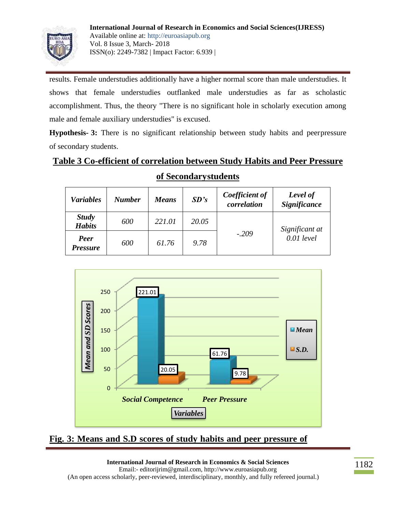

results. Female understudies additionally have a higher normal score than male understudies. It shows that female understudies outflanked male understudies as far as scholastic accomplishment. Thus, the theory "There is no significant hole in scholarly execution among male and female auxiliary understudies" is excused.

**Hypothesis- 3:** There is no significant relationship between study habits and peerpressure of secondary students.

## **Table 3 Co-efficient of correlation between Study Habits and Peer Pressure**

| <b>Variables</b>              | <b>Number</b> | <b>Means</b> | SD's  | Coefficient of<br>correlation | Level of<br><b>Significance</b> |
|-------------------------------|---------------|--------------|-------|-------------------------------|---------------------------------|
| <b>Study</b><br><b>Habits</b> | 600           | 221.01       | 20.05 |                               | Significant at<br>$0.01$ level  |
| Peer<br><b>Pressure</b>       | 600           | 61.76        | 9.78  | $-.209$                       |                                 |

### **of Secondarystudents**



**Fig. 3: Means and S.D scores of study habits and peer pressure of**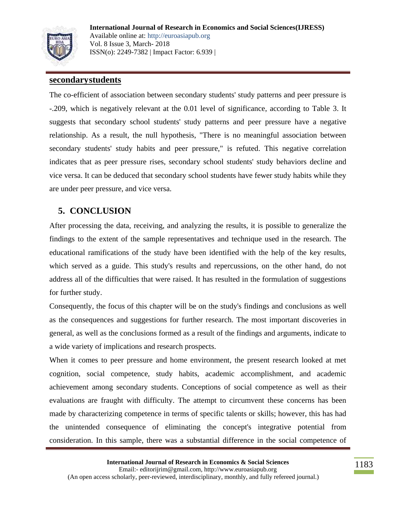

**International Journal of Research in Economics and Social Sciences(IJRESS)** Available online at: http://euroasiapub.org Vol. 8 Issue 3, March- 2018 ISSN(o): 2249-7382 | Impact Factor: 6.939 |

#### **secondarystudents**

The co-efficient of association between secondary students' study patterns and peer pressure is -.209, which is negatively relevant at the 0.01 level of significance, according to Table 3. It suggests that secondary school students' study patterns and peer pressure have a negative relationship. As a result, the null hypothesis, "There is no meaningful association between secondary students' study habits and peer pressure," is refuted. This negative correlation indicates that as peer pressure rises, secondary school students' study behaviors decline and vice versa. It can be deduced that secondary school students have fewer study habits while they are under peer pressure, and vice versa.

## **5. CONCLUSION**

After processing the data, receiving, and analyzing the results, it is possible to generalize the findings to the extent of the sample representatives and technique used in the research. The educational ramifications of the study have been identified with the help of the key results, which served as a guide. This study's results and repercussions, on the other hand, do not address all of the difficulties that were raised. It has resulted in the formulation of suggestions for further study.

Consequently, the focus of this chapter will be on the study's findings and conclusions as well as the consequences and suggestions for further research. The most important discoveries in general, as well as the conclusions formed as a result of the findings and arguments, indicate to a wide variety of implications and research prospects.

When it comes to peer pressure and home environment, the present research looked at met cognition, social competence, study habits, academic accomplishment, and academic achievement among secondary students. Conceptions of social competence as well as their evaluations are fraught with difficulty. The attempt to circumvent these concerns has been made by characterizing competence in terms of specific talents or skills; however, this has had the unintended consequence of eliminating the concept's integrative potential from consideration. In this sample, there was a substantial difference in the social competence of